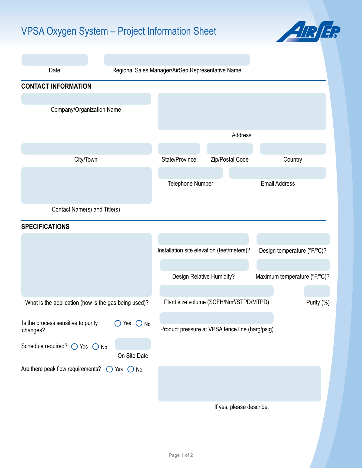## VPSA Oxygen System – Project Information Sheet



| Date                                                           |                | Regional Sales Manager/AirSep Representative Name                 |                                            |                              |  |
|----------------------------------------------------------------|----------------|-------------------------------------------------------------------|--------------------------------------------|------------------------------|--|
| <b>CONTACT INFORMATION</b>                                     |                |                                                                   |                                            |                              |  |
|                                                                |                |                                                                   |                                            |                              |  |
| Company/Organization Name                                      |                |                                                                   |                                            |                              |  |
|                                                                |                |                                                                   |                                            |                              |  |
|                                                                |                |                                                                   | Address                                    |                              |  |
| City/Town                                                      |                | State/Province                                                    | Zip/Postal Code                            | Country                      |  |
|                                                                |                |                                                                   |                                            |                              |  |
|                                                                |                | Telephone Number                                                  |                                            | <b>Email Address</b>         |  |
|                                                                |                |                                                                   |                                            |                              |  |
| Contact Name(s) and Title(s)                                   |                |                                                                   |                                            |                              |  |
| <b>SPECIFICATIONS</b>                                          |                |                                                                   |                                            |                              |  |
|                                                                |                |                                                                   |                                            |                              |  |
|                                                                |                |                                                                   | Installation site elevation (feet/meters)? | Design temperature (°F/°C)?  |  |
|                                                                |                |                                                                   |                                            |                              |  |
|                                                                |                |                                                                   | Design Relative Humidity?                  | Maximum temperature (°F/°C)? |  |
|                                                                |                |                                                                   |                                            |                              |  |
| What is the application (how is the gas being used)?           |                | Plant size volume (SCFH/Nm <sup>3</sup> /STPD/MTPD)<br>Purity (%) |                                            |                              |  |
| Is the process sensitive to purity                             | $O$ Yes $O$ No |                                                                   |                                            |                              |  |
| changes?                                                       |                | Product pressure at VPSA fence line (barg/psig)                   |                                            |                              |  |
| Schedule required? $\bigcirc$ Yes $\bigcirc$ No                |                |                                                                   |                                            |                              |  |
|                                                                | On Site Date   |                                                                   |                                            |                              |  |
| Are there peak flow requirements? $\bigcirc$ Yes $\bigcirc$ No |                |                                                                   |                                            |                              |  |
|                                                                |                |                                                                   |                                            |                              |  |
|                                                                |                |                                                                   |                                            |                              |  |
|                                                                |                |                                                                   | If yes, please describe.                   |                              |  |